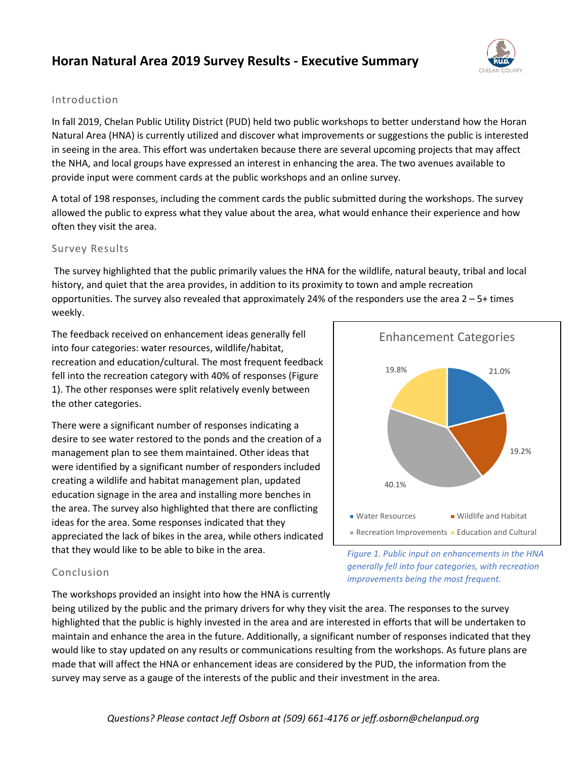### **Horan Natural Area 2019 Survey Results - Executive Summary**



#### Introduction

In fall 2019, Chelan Public Utility District (PUD) held two public workshops to better understand how the Horan Natural Area (HNA) is currently utilized and discover what improvements or suggestions the public is interested in seeing in the area. This effort was undertaken because there are several upcoming projects that may affect the NHA, and local groups have expressed an interest in enhancing the area. The two avenues available to provide input were comment cards at the public workshops and an online survey.

A total of 198 responses, including the comment cards the public submitted during the workshops. The survey allowed the public to express what they value about the area, what would enhance their experience and how often they visit the area.

#### Survey Results

The survey highlighted that the public primarily values the HNA for the wildlife, natural beauty, tribal and local history, and quiet that the area provides, in addition to its proximity to town and ample recreation opportunities. The survey also revealed that approximately 24% of the responders use the area  $2 - 5 +$  times weekly.

The feedback received on enhancement ideas generally fell into four categories: water resources, wildlife/habitat, recreation and education/cultural. The most frequent feedback fell into the recreation category with 40% of responses (Figure 1). The other responses were split relatively evenly between the other categories.

There were a significant number of responses indicating a desire to see water restored to the ponds and the creation of a management plan to see them maintained. Other ideas that were identified by a significant number of responders included creating a wildlife and habitat management plan, updated education signage in the area and installing more benches in the area. The survey also highlighted that there are conflicting ideas for the area. Some responses indicated that they appreciated the lack of bikes in the area, while others indicated that they would like to be able to bike in the area.



*Figure 1. Public input on enhancements in the HNA generally fell into four categories, with recreation*

*improvements being the most frequent.* 

#### Conclusion

The workshops provided an insight into how the HNA is currently

being utilized by the public and the primary drivers for why they visit the area. The responses to the survey highlighted that the public is highly invested in the area and are interested in efforts that will be undertaken to maintain and enhance the area in the future. Additionally, a significant number of responses indicated that they would like to stay updated on any results or communications resulting from the workshops. As future plans are made that will affect the HNA or enhancement ideas are considered by the PUD, the information from the survey may serve as a gauge of the interests of the public and their investment in the area.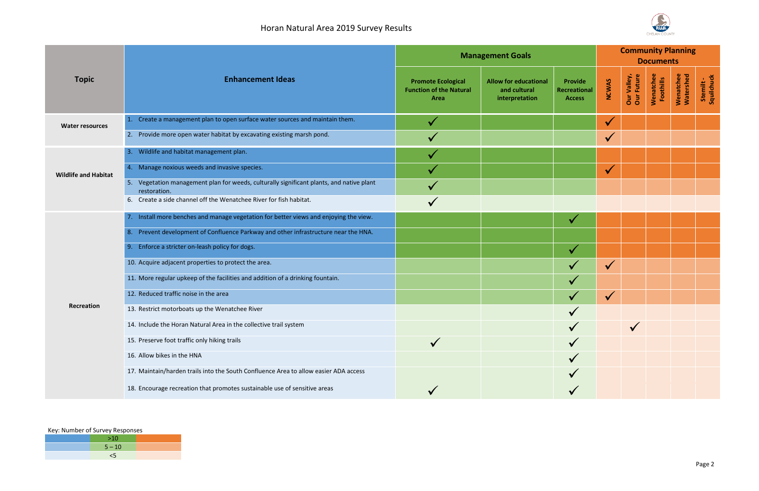## Horan Natural Area 2019 Survey Results

### Key: Number of Survey Responses

|  | >10      |  |  |  |  |  |
|--|----------|--|--|--|--|--|
|  | $5 - 10$ |  |  |  |  |  |
|  |          |  |  |  |  |  |

| P.U.D. |
|--------|
|        |

| <b>Topic</b>                | <b>Enhancement Ideas</b>                                                                                 | <b>Management Goals</b>                                             |                                                                |                                                 |              | <b>Community Planning</b><br><b>Documents</b> |                        |                        |                         |  |  |
|-----------------------------|----------------------------------------------------------------------------------------------------------|---------------------------------------------------------------------|----------------------------------------------------------------|-------------------------------------------------|--------------|-----------------------------------------------|------------------------|------------------------|-------------------------|--|--|
|                             |                                                                                                          | <b>Promote Ecological</b><br><b>Function of the Natural</b><br>Area | <b>Allow for educational</b><br>and cultural<br>interpretation | <b>Provide</b><br>Recreational<br><b>Access</b> | <b>NCWAS</b> | Our Valley,<br>Our Future                     | Wenatchee<br>Foothills | Wenatchee<br>Watershed | Stemilt -<br>Squilchuck |  |  |
| <b>Water resources</b>      | Create a management plan to open surface water sources and maintain them.<br>$\vert 1. \vert$            |                                                                     |                                                                |                                                 | $\checkmark$ |                                               |                        |                        |                         |  |  |
|                             | Provide more open water habitat by excavating existing marsh pond.<br>2.                                 |                                                                     |                                                                |                                                 | $\checkmark$ |                                               |                        |                        |                         |  |  |
| <b>Wildlife and Habitat</b> | 3. Wildlife and habitat management plan.                                                                 |                                                                     |                                                                |                                                 |              |                                               |                        |                        |                         |  |  |
|                             | 4. Manage noxious weeds and invasive species.                                                            |                                                                     |                                                                |                                                 | $\checkmark$ |                                               |                        |                        |                         |  |  |
|                             | 5. Vegetation management plan for weeds, culturally significant plants, and native plant<br>restoration. |                                                                     |                                                                |                                                 |              |                                               |                        |                        |                         |  |  |
|                             | 6. Create a side channel off the Wenatchee River for fish habitat.                                       |                                                                     |                                                                |                                                 |              |                                               |                        |                        |                         |  |  |
|                             | 7. Install more benches and manage vegetation for better views and enjoying the view.                    |                                                                     |                                                                | $\checkmark$                                    |              |                                               |                        |                        |                         |  |  |
|                             | 8. Prevent development of Confluence Parkway and other infrastructure near the HNA.                      |                                                                     |                                                                |                                                 |              |                                               |                        |                        |                         |  |  |
|                             | Enforce a stricter on-leash policy for dogs.                                                             |                                                                     |                                                                | $\checkmark$                                    |              |                                               |                        |                        |                         |  |  |
|                             | 10. Acquire adjacent properties to protect the area.                                                     |                                                                     |                                                                |                                                 | $\checkmark$ |                                               |                        |                        |                         |  |  |
|                             | 11. More regular upkeep of the facilities and addition of a drinking fountain.                           |                                                                     |                                                                |                                                 |              |                                               |                        |                        |                         |  |  |
| Recreation                  | 12. Reduced traffic noise in the area                                                                    |                                                                     |                                                                |                                                 | $\checkmark$ |                                               |                        |                        |                         |  |  |
|                             | 13. Restrict motorboats up the Wenatchee River                                                           |                                                                     |                                                                |                                                 |              |                                               |                        |                        |                         |  |  |
|                             | 14. Include the Horan Natural Area in the collective trail system                                        |                                                                     |                                                                |                                                 |              |                                               |                        |                        |                         |  |  |
|                             | 15. Preserve foot traffic only hiking trails                                                             |                                                                     |                                                                |                                                 |              |                                               |                        |                        |                         |  |  |
|                             | 16. Allow bikes in the HNA                                                                               |                                                                     |                                                                |                                                 |              |                                               |                        |                        |                         |  |  |
|                             | 17. Maintain/harden trails into the South Confluence Area to allow easier ADA access                     |                                                                     |                                                                |                                                 |              |                                               |                        |                        |                         |  |  |
|                             | 18. Encourage recreation that promotes sustainable use of sensitive areas                                |                                                                     |                                                                |                                                 |              |                                               |                        |                        |                         |  |  |